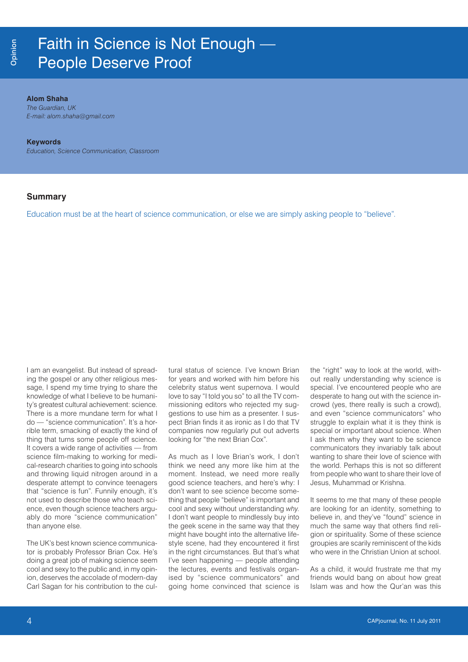# Faith in Science is Not Enough — People Deserve Proof

### **Alom Shaha**

*The Guardian, UK E-mail: [alom.shaha@gmail.com](mailto:alom.shaha%40gmail.com?subject=)*

#### **Keywords**

*Education, Science Communication, Classroom*

## **Summary**

Education must be at the heart of science communication, or else we are simply asking people to "believe".

I am an evangelist. But instead of spreading the gospel or any other religious message, I spend my time trying to share the knowledge of what I believe to be humanity's greatest cultural achievement: science. There is a more mundane term for what I do — "science communication". It's a horrible term, smacking of exactly the kind of thing that turns some people off science. It covers a wide range of activities — from science film-making to working for medical-research charities to going into schools and throwing liquid nitrogen around in a desperate attempt to convince teenagers that "science is fun". Funnily enough, it's not used to describe those who teach science, even though science teachers arguably do more "science communication" than anyone else.

The UK's best known science communicator is probably Professor Brian Cox. He's doing a great job of making science seem cool and sexy to the public and, in my opinion, deserves the accolade of modern-day Carl Sagan for his contribution to the cultural status of science. I've known Brian for years and worked with him before his celebrity status went supernova. I would love to say "I told you so" to all the TV commissioning editors who rejected my suggestions to use him as a presenter. I suspect Brian finds it as ironic as I do that TV companies now regularly put out adverts looking for "the next Brian Cox".

As much as I love Brian's work, I don't think we need any more like him at the moment. Instead, we need more really good science teachers, and here's why: I don't want to see science become something that people "believe" is important and cool and sexy without understanding *why*. I don't want people to mindlessly buy into the geek scene in the same way that they might have bought into the alternative lifestyle scene, had they encountered it first in the right circumstances. But that's what I've seen happening — people attending the lectures, events and festivals organised by "science communicators" and going home convinced that science is

the "right" way to look at the world, without really understanding why science is special. I've encountered people who are desperate to hang out with the science incrowd (yes, there really is such a crowd), and even "science communicators" who struggle to explain what it is they think is special or important about science. When I ask them why they want to be science communicators they invariably talk about wanting to share their love of science with the world. Perhaps this is not so different from people who want to share their love of Jesus, Muhammad or Krishna.

It seems to me that many of these people are looking for an identity, something to believe in, and they've "found" science in much the same way that others find religion or spirituality. Some of these science groupies are scarily reminiscent of the kids who were in the Christian Union at school.

As a child, it would frustrate me that my friends would bang on about how great Islam was and how the Qur'an was this